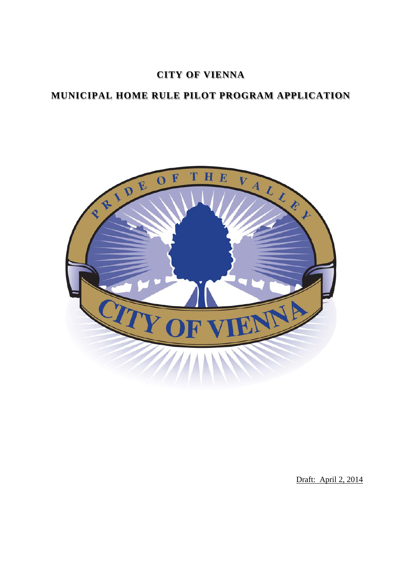## **CITY OF VIENNA**

# **MUNICIPAL HOME RULE PILOT PROGRAM APPLICATION**



Draft: April 2, 2014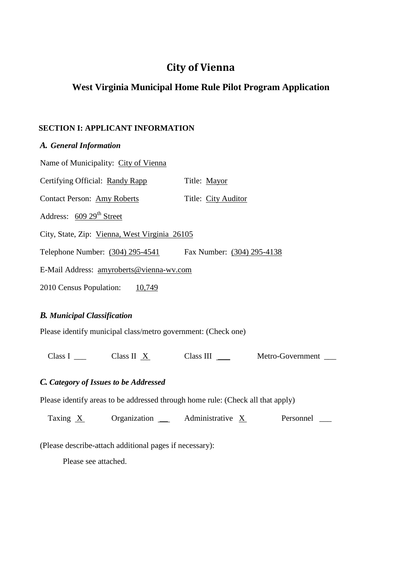# **City of Vienna**

## **West Virginia Municipal Home Rule Pilot Program Application**

#### **SECTION I: APPLICANT INFORMATION**

| A. General Information                        |                            |  |
|-----------------------------------------------|----------------------------|--|
| Name of Municipality: City of Vienna          |                            |  |
| Certifying Official: Randy Rapp               | Title: Mayor               |  |
| <b>Contact Person: Amy Roberts</b>            | Title: City Auditor        |  |
| Address: 609 29 <sup>th</sup> Street          |                            |  |
| City, State, Zip: Vienna, West Virginia 26105 |                            |  |
| Telephone Number: (304) 295-4541              | Fax Number: (304) 295-4138 |  |
| E-Mail Address: amyroberts@vienna-wv.com      |                            |  |
| 2010 Census Population:<br>10,749             |                            |  |

### *B. Municipal Classification*

Please identify municipal class/metro government: (Check one)

Class I  $\frac{\text{N}}{\text{N}}$  Class II  $\frac{\text{N}}{\text{N}}$  Class III  $\frac{\text{N}}{\text{N}}$  Metro-Government  $\frac{\text{N}}{\text{N}}$ 

### *C. Category of Issues to be Addressed*

Please identify areas to be addressed through home rule: (Check all that apply)

Taxing  $X$  Organization  $\frac{X}{X}$  Administrative  $X$  Personnel  $\frac{X}{X}$ 

(Please describe-attach additional pages if necessary):

Please see attached.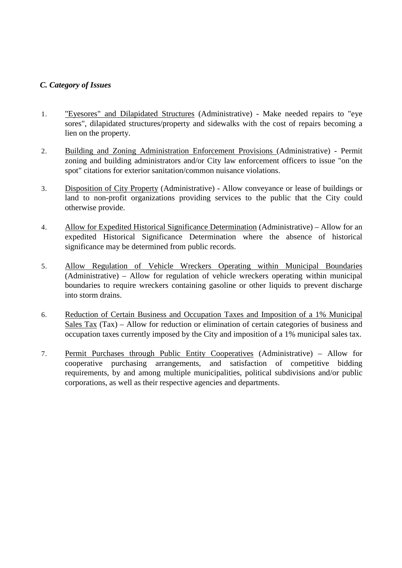#### *C. Category of Issues*

- 1. "Eyesores" and Dilapidated Structures (Administrative) Make needed repairs to "eye sores", dilapidated structures/property and sidewalks with the cost of repairs becoming a lien on the property.
- 2. Building and Zoning Administration Enforcement Provisions (Administrative) Permit zoning and building administrators and/or City law enforcement officers to issue "on the spot" citations for exterior sanitation/common nuisance violations.
- 3. Disposition of City Property (Administrative) Allow conveyance or lease of buildings or land to non-profit organizations providing services to the public that the City could otherwise provide.
- 4. Allow for Expedited Historical Significance Determination (Administrative) Allow for an expedited Historical Significance Determination where the absence of historical significance may be determined from public records.
- 5. Allow Regulation of Vehicle Wreckers Operating within Municipal Boundaries (Administrative) – Allow for regulation of vehicle wreckers operating within municipal boundaries to require wreckers containing gasoline or other liquids to prevent discharge into storm drains.
- 6. Reduction of Certain Business and Occupation Taxes and Imposition of a 1% Municipal Sales Tax (Tax) – Allow for reduction or elimination of certain categories of business and occupation taxes currently imposed by the City and imposition of a 1% municipal sales tax.
- 7. Permit Purchases through Public Entity Cooperatives (Administrative) Allow for cooperative purchasing arrangements, and satisfaction of competitive bidding requirements, by and among multiple municipalities, political subdivisions and/or public corporations, as well as their respective agencies and departments.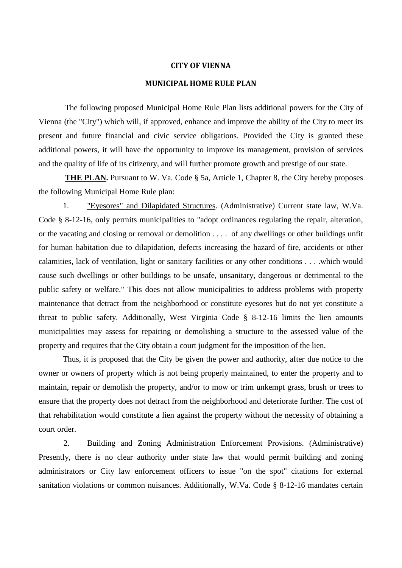#### **CITY OF VIENNA**

#### **MUNICIPAL HOME RULE PLAN**

The following proposed Municipal Home Rule Plan lists additional powers for the City of Vienna (the "City") which will, if approved, enhance and improve the ability of the City to meet its present and future financial and civic service obligations. Provided the City is granted these additional powers, it will have the opportunity to improve its management, provision of services and the quality of life of its citizenry, and will further promote growth and prestige of our state.

THE PLAN. Pursuant to W. Va. Code § 5a, Article 1, Chapter 8, the City hereby proposes the following Municipal Home Rule plan:

1. "Eyesores" and Dilapidated Structures. (Administrative) Current state law, W.Va. Code § 8-12-16, only permits municipalities to "adopt ordinances regulating the repair, alteration, or the vacating and closing or removal or demolition . . . . of any dwellings or other buildings unfit for human habitation due to dilapidation, defects increasing the hazard of fire, accidents or other calamities, lack of ventilation, light or sanitary facilities or any other conditions . . . .which would cause such dwellings or other buildings to be unsafe, unsanitary, dangerous or detrimental to the public safety or welfare." This does not allow municipalities to address problems with property maintenance that detract from the neighborhood or constitute eyesores but do not yet constitute a threat to public safety. Additionally, West Virginia Code § 8-12-16 limits the lien amounts municipalities may assess for repairing or demolishing a structure to the assessed value of the property and requires that the City obtain a court judgment for the imposition of the lien.

Thus, it is proposed that the City be given the power and authority, after due notice to the owner or owners of property which is not being properly maintained, to enter the property and to maintain, repair or demolish the property, and/or to mow or trim unkempt grass, brush or trees to ensure that the property does not detract from the neighborhood and deteriorate further. The cost of that rehabilitation would constitute a lien against the property without the necessity of obtaining a court order.

2. Building and Zoning Administration Enforcement Provisions. (Administrative) Presently, there is no clear authority under state law that would permit building and zoning administrators or City law enforcement officers to issue "on the spot" citations for external sanitation violations or common nuisances. Additionally, W.Va. Code § 8-12-16 mandates certain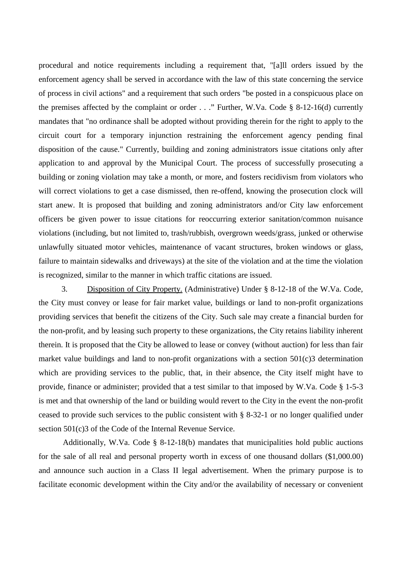procedural and notice requirements including a requirement that, "[a]ll orders issued by the enforcement agency shall be served in accordance with the law of this state concerning the service of process in civil actions" and a requirement that such orders "be posted in a conspicuous place on the premises affected by the complaint or order  $\ldots$ ." Further, W.Va. Code § 8-12-16(d) currently mandates that "no ordinance shall be adopted without providing therein for the right to apply to the circuit court for a temporary injunction restraining the enforcement agency pending final disposition of the cause." Currently, building and zoning administrators issue citations only after application to and approval by the Municipal Court. The process of successfully prosecuting a building or zoning violation may take a month, or more, and fosters recidivism from violators who will correct violations to get a case dismissed, then re-offend, knowing the prosecution clock will start anew. It is proposed that building and zoning administrators and/or City law enforcement officers be given power to issue citations for reoccurring exterior sanitation/common nuisance violations (including, but not limited to, trash/rubbish, overgrown weeds/grass, junked or otherwise unlawfully situated motor vehicles, maintenance of vacant structures, broken windows or glass, failure to maintain sidewalks and driveways) at the site of the violation and at the time the violation is recognized, similar to the manner in which traffic citations are issued.

3. Disposition of City Property. (Administrative) Under § 8-12-18 of the W.Va. Code, the City must convey or lease for fair market value, buildings or land to non-profit organizations providing services that benefit the citizens of the City. Such sale may create a financial burden for the non-profit, and by leasing such property to these organizations, the City retains liability inherent therein. It is proposed that the City be allowed to lease or convey (without auction) for less than fair market value buildings and land to non-profit organizations with a section 501(c)3 determination which are providing services to the public, that, in their absence, the City itself might have to provide, finance or administer; provided that a test similar to that imposed by W.Va. Code § 1-5-3 is met and that ownership of the land or building would revert to the City in the event the non-profit ceased to provide such services to the public consistent with § 8-32-1 or no longer qualified under section 501(c)3 of the Code of the Internal Revenue Service.

Additionally, W.Va. Code § 8-12-18(b) mandates that municipalities hold public auctions for the sale of all real and personal property worth in excess of one thousand dollars (\$1,000.00) and announce such auction in a Class II legal advertisement. When the primary purpose is to facilitate economic development within the City and/or the availability of necessary or convenient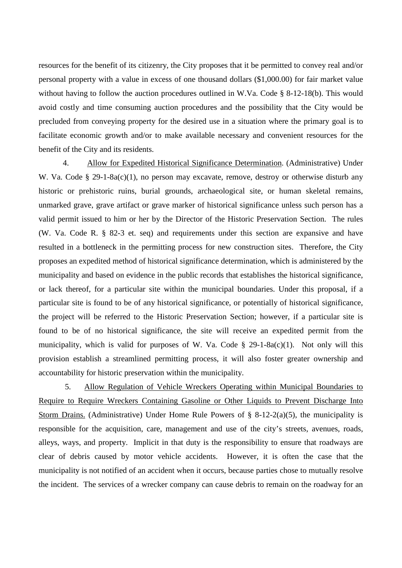resources for the benefit of its citizenry, the City proposes that it be permitted to convey real and/or personal property with a value in excess of one thousand dollars (\$1,000.00) for fair market value without having to follow the auction procedures outlined in W.Va. Code § 8-12-18(b). This would avoid costly and time consuming auction procedures and the possibility that the City would be precluded from conveying property for the desired use in a situation where the primary goal is to facilitate economic growth and/or to make available necessary and convenient resources for the benefit of the City and its residents.

4. Allow for Expedited Historical Significance Determination. (Administrative) Under W. Va. Code § 29-1-8a(c)(1), no person may excavate, remove, destroy or otherwise disturb any historic or prehistoric ruins, burial grounds, archaeological site, or human skeletal remains, unmarked grave, grave artifact or grave marker of historical significance unless such person has a valid permit issued to him or her by the Director of the Historic Preservation Section. The rules (W. Va. Code R. § 82-3 et. seq) and requirements under this section are expansive and have resulted in a bottleneck in the permitting process for new construction sites. Therefore, the City proposes an expedited method of historical significance determination, which is administered by the municipality and based on evidence in the public records that establishes the historical significance, or lack thereof, for a particular site within the municipal boundaries. Under this proposal, if a particular site is found to be of any historical significance, or potentially of historical significance, the project will be referred to the Historic Preservation Section; however, if a particular site is found to be of no historical significance, the site will receive an expedited permit from the municipality, which is valid for purposes of W. Va. Code  $\S$  29-1-8a(c)(1). Not only will this provision establish a streamlined permitting process, it will also foster greater ownership and accountability for historic preservation within the municipality.

5. Allow Regulation of Vehicle Wreckers Operating within Municipal Boundaries to Require to Require Wreckers Containing Gasoline or Other Liquids to Prevent Discharge Into Storm Drains. (Administrative) Under Home Rule Powers of  $\S$  8-12-2(a)(5), the municipality is responsible for the acquisition, care, management and use of the city's streets, avenues, roads, alleys, ways, and property. Implicit in that duty is the responsibility to ensure that roadways are clear of debris caused by motor vehicle accidents. However, it is often the case that the municipality is not notified of an accident when it occurs, because parties chose to mutually resolve the incident. The services of a wrecker company can cause debris to remain on the roadway for an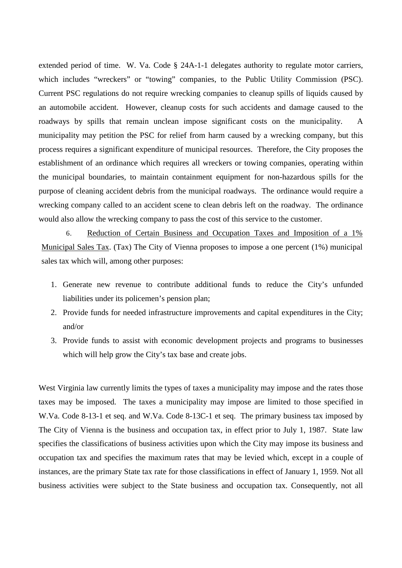extended period of time. W. Va. Code § 24A-1-1 delegates authority to regulate motor carriers, which includes "wreckers" or "towing" companies, to the Public Utility Commission (PSC). Current PSC regulations do not require wrecking companies to cleanup spills of liquids caused by an automobile accident. However, cleanup costs for such accidents and damage caused to the roadways by spills that remain unclean impose significant costs on the municipality. A municipality may petition the PSC for relief from harm caused by a wrecking company, but this process requires a significant expenditure of municipal resources. Therefore, the City proposes the establishment of an ordinance which requires all wreckers or towing companies, operating within the municipal boundaries, to maintain containment equipment for non-hazardous spills for the purpose of cleaning accident debris from the municipal roadways. The ordinance would require a wrecking company called to an accident scene to clean debris left on the roadway. The ordinance would also allow the wrecking company to pass the cost of this service to the customer.

6. Reduction of Certain Business and Occupation Taxes and Imposition of a 1% Municipal Sales Tax. (Tax) The City of Vienna proposes to impose a one percent (1%) municipal sales tax which will, among other purposes:

- 1. Generate new revenue to contribute additional funds to reduce the City's unfunded liabilities under its policemen's pension plan;
- 2. Provide funds for needed infrastructure improvements and capital expenditures in the City; and/or
- 3. Provide funds to assist with economic development projects and programs to businesses which will help grow the City's tax base and create jobs.

West Virginia law currently limits the types of taxes a municipality may impose and the rates those taxes may be imposed. The taxes a municipality may impose are limited to those specified in W.Va. Code 8-13-1 et seq. and W.Va. Code 8-13C-1 et seq. The primary business tax imposed by The City of Vienna is the business and occupation tax, in effect prior to July 1, 1987. State law specifies the classifications of business activities upon which the City may impose its business and occupation tax and specifies the maximum rates that may be levied which, except in a couple of instances, are the primary State tax rate for those classifications in effect of January 1, 1959. Not all business activities were subject to the State business and occupation tax. Consequently, not all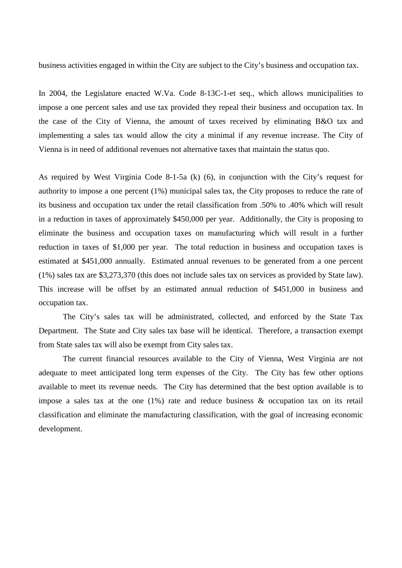business activities engaged in within the City are subject to the City's business and occupation tax.

In 2004, the Legislature enacted W.Va. Code 8-13C-1-et seq., which allows municipalities to impose a one percent sales and use tax provided they repeal their business and occupation tax. In the case of the City of Vienna, the amount of taxes received by eliminating B&O tax and implementing a sales tax would allow the city a minimal if any revenue increase. The City of Vienna is in need of additional revenues not alternative taxes that maintain the status quo.

As required by West Virginia Code 8-1-5a (k) (6), in conjunction with the City's request for authority to impose a one percent (1%) municipal sales tax, the City proposes to reduce the rate of its business and occupation tax under the retail classification from .50% to .40% which will result in a reduction in taxes of approximately \$450,000 per year. Additionally, the City is proposing to eliminate the business and occupation taxes on manufacturing which will result in a further reduction in taxes of \$1,000 per year. The total reduction in business and occupation taxes is estimated at \$451,000 annually. Estimated annual revenues to be generated from a one percent (1%) sales tax are \$3,273,370 (this does not include sales tax on services as provided by State law). This increase will be offset by an estimated annual reduction of \$451,000 in business and occupation tax.

The City's sales tax will be administrated, collected, and enforced by the State Tax Department. The State and City sales tax base will be identical. Therefore, a transaction exempt from State sales tax will also be exempt from City sales tax.

The current financial resources available to the City of Vienna, West Virginia are not adequate to meet anticipated long term expenses of the City. The City has few other options available to meet its revenue needs. The City has determined that the best option available is to impose a sales tax at the one  $(1%)$  rate and reduce business  $\&$  occupation tax on its retail classification and eliminate the manufacturing classification, with the goal of increasing economic development.